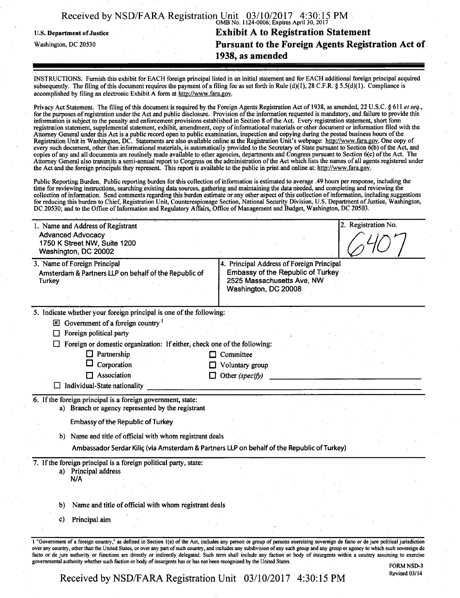|                                   | Received by NSD/FARA Registration Unit 03/10/2017 4:30:15 PM |
|-----------------------------------|--------------------------------------------------------------|
| <b>U.S. Department of Justice</b> | <b>Exhibit A to Registration Statement</b>                   |
| Washington, DC 20530              | Pursuant to the Foreign Agents Registration Act of           |
|                                   | 1938, as amended                                             |

INSTRUCTIONS. Furnish this exhibit for EACH foreign principal listed in an initial statement and for EACH additional foreign principal acquired subsequently. The filing of this document requires the payment of a filing fee as set forth in Rule (d)(1), 28 C.F.R. § 5.5(d)(1). Compliance is accomplished by filing an electronic Exhibit A form at http://www.fara.gov.

Privacy Act Statement. The filing of this document is required by the Foreign Agents Registration Act of 1938, as amended, 22 U.S.C. § 611 et seq., for the purposes of registration under the Act and public disclosure. Provision of the information requested is mandatory, and failure to provide this information is subject to the penalty and enforcement provisions established in Section 8 ofthe Act. Every registration statement, short form registration statement, supplemental statement, exhibit, amendment, copy of informational materials or other document or information filed with the Attorney General under this Act is a public record open to public examination, inspection and copying during the posted business hours of the Registration Unit in Washington, DC. Statements are also available online at the Registration Unit's webpage: http://www.fara.gov. One copy of every such document, other than informational materials, is automatically provided to the Secretary of State pursuant to Section  $\vec{o}$ (b) of the Act, and copies of any and all documents are routinely made available to other agencies, departments and Congress pursuant to Section 6(c) of the Act. The Attorney General also transmits a semi-annual report to Congress on the administration ofthe Act which lists the names ofall agents registered under the Act and the foreign principals they represent. This report is available to the public in print and online at: http://www.fara.gov.

Public Reporting Burden. Public reporting burden for this collection of information is estimated to average .49 hours per response, including the time for reviewing instructions, searching existing data sources, gathering and maintaining the data needed, and completing and reviewing the collection of information. Send comments regarding this burden estimate or any other aspect of this collection of information, including suggestions for reducing this burden to Chief, Registration Unit, Counterespionage Section, National Security Division, U.S. Department of Justice, Washington, DC 20530; and to the Office ofinformation and Regulatory Affairs, Office of Management and Budget, Washington, DC 20503.

| <b>Turkey</b> | 3. Name of Foreign Principal<br>Amsterdam & Partners LLP on behalf of the Republic of                            | 4. Principal Address of Foreign Principal<br>Embassy of the Republic of Turkey<br>2525 Massachusetts Ave, NW<br>Washington, DC 20008 |
|---------------|------------------------------------------------------------------------------------------------------------------|--------------------------------------------------------------------------------------------------------------------------------------|
|               | 5. Indicate whether your foreign principal is one of the following:                                              |                                                                                                                                      |
|               | $\boxtimes$ Government of a foreign country $\frac{1}{1}$                                                        |                                                                                                                                      |
|               | $\Box$ Foreign political party                                                                                   |                                                                                                                                      |
|               | Foreign or domestic organization: If either, check one of the following:                                         |                                                                                                                                      |
|               | $\Box$ Partnership                                                                                               | $\Box$ Committee                                                                                                                     |
|               | Corporation                                                                                                      | Voluntary group                                                                                                                      |
|               | Association                                                                                                      | Other (specify)                                                                                                                      |
| ப             | Individual-State nationality                                                                                     |                                                                                                                                      |
|               | 6. If the foreign principal is a foreign government, state:<br>a) Branch or agency represented by the registrant |                                                                                                                                      |
|               | <b>Embassy of the Republic of Turkey</b>                                                                         |                                                                                                                                      |
|               | b) Name and title of official with whom registrant deals                                                         |                                                                                                                                      |
|               |                                                                                                                  | Ambassador Serdar Kiliç (via Amsterdam & Partners LLP on behalf of the Republic of Turkey)                                           |
|               | 7. If the foreign principal is a foreign political party, state:<br>a) Principal address                         |                                                                                                                                      |
| N/A           |                                                                                                                  |                                                                                                                                      |
|               |                                                                                                                  |                                                                                                                                      |
|               | Name and title of official with whom registrant deals                                                            |                                                                                                                                      |
|               |                                                                                                                  |                                                                                                                                      |
| b)            | Principal aim                                                                                                    |                                                                                                                                      |

Received by NSD/FARA Registration Unit  $03/10/2017$  4:30:15 PM Revised 03/14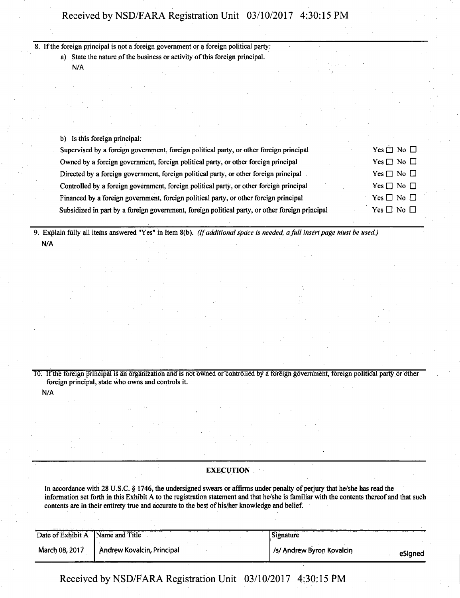## Received by NSD/FARA Registration Unit 03/10/2017 4:30:15 PM

|  | 8. If the foreign principal is not a foreign government or a foreign political party:           |  |                            |  |
|--|-------------------------------------------------------------------------------------------------|--|----------------------------|--|
|  | a) State the nature of the business or activity of this foreign principal.                      |  |                            |  |
|  | N/A                                                                                             |  |                            |  |
|  |                                                                                                 |  |                            |  |
|  |                                                                                                 |  |                            |  |
|  | b) Is this foreign principal:                                                                   |  |                            |  |
|  | Supervised by a foreign government, foreign political party, or other foreign principal         |  | Yes $\square$ No $\square$ |  |
|  | Owned by a foreign government, foreign political party, or other foreign principal              |  | Yes $\Box$ No $\Box$       |  |
|  | Directed by a foreign government, foreign political party, or other foreign principal           |  | $Yes \Box No \Box$         |  |
|  | Controlled by a foreign government, foreign political party, or other foreign principal         |  | $Yes \Box No \Box$         |  |
|  | Financed by a foreign government, foreign political party, or other foreign principal           |  | $Yes \Box No \Box$         |  |
|  | Subsidized in part by a foreign government, foreign political party, or other foreign principal |  | Yes $\Box$ No $\Box$       |  |
|  |                                                                                                 |  |                            |  |

9. Explain fully all items answered "Yes" in Item 8(b). (If additional space is needed, a full insert page must be used.) N/A

TO. If the foreign principal is an organization and is not owned or controlled by a foreign government, foreign political party or other foreign principal, state who owns and controls it.

N/A

## **EXECUTION**

In accordance with 28 U.S.C. § 1746, the undersigned swears or affirms under penalty of perjury that he/she has read the information set forth in this Exhibit A to the registration statement and that he/she is familiar with the contents thereof and that such contents are in their entirety true and accurate to the best of his/her knowledge and belief.

| Date of Exhibit A Name and Title |                            | Signature                 |         |
|----------------------------------|----------------------------|---------------------------|---------|
| March 08, 2017                   | Andrew Kovalcin, Principal | /s/ Andrew Byron Kovalcin | eSianed |

Received by NSD/FARA Registration Unit 03/10/2017 4;30:15 PM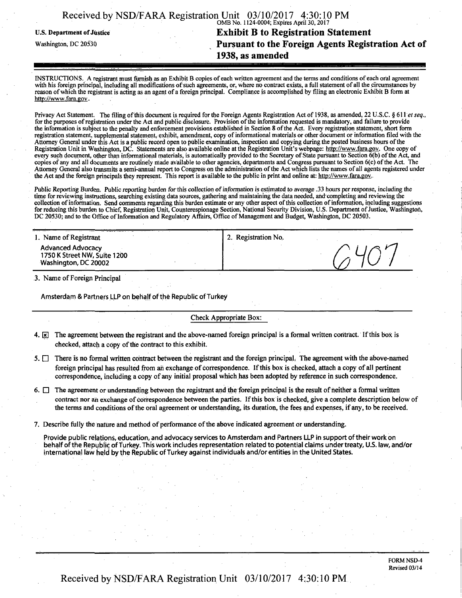|                            | Received by NSD/FARA Registration Unit 03/10/2017 4:30:10 PM |
|----------------------------|--------------------------------------------------------------|
| U.S. Department of Justice | <b>Exhibit B to Registration Statement</b>                   |
| Washington, DC 20530       | Pursuant to the Foreign Agents Registration Act of           |
|                            | 1938, as amended                                             |

INSTRUCTIONS. A registrant must fumish as an Exhibit B copies of each written agreement and the terms and conditions of each oral agreement with his foreign principal, including all modifications of such agreements, or, where no contract exists, a full statement of all the circumstances by reason of which the registrant is acting as an agent of a foreign principal. Compliance is accomplished by filing an electronic Exhibit B form at http://www.fara.gov.

Privacy Act Statement. The filing of this document is required for the Foreign Agents Registration Act of 1938, as amended, 22 U.S.C. § 611 et seq., for the purposes of registration under the Act and public disclosure. Provision of the information requested is mandatory, and failure to provide the information is subject to the penalty and enforcement provisions established in Section 8 of the Act. Every registration statement, short form registration statement, supplemental statement, exhibit, amendment, copy of informational materials or other document or information filed with the Attorney General under this Act is a public record open to public examination, inspection and copying during the posted business hours of the Registration Unit in Washington, DC. Statements are also available online at the Registration Unit's webpage: http://www.fara.gov. One copy of every such document, other than informational materials, is automatically provided to the Secretary of State pursuant to Section 6(b) of the Act, and copies of any and all documents are routinely made available to other agencies, departments and Congress pursuant to Section 6(c) of the Act. The Attorney General also transmits a semi-annual report to Congress on the administration of the Act which lists the names of all agents registered under the Act and the foreign principals they represent. This report is available to the public in print and online at: http://www.fara.gov.

Public Reporting Burden. Public reporting burden for this collection of information is estimated to average .33 hours per response, including the time for reviewing instructions, searching existing data sources, gathering and maintaining the data needed, and"completing and reviewing the collection of information. Send comments regarding this burden estimate or any other aspect of this collection ofinformation, including suggestions for reducing this burden to Chief, Registration Unit, Counterespionage Section, National Security Division, U.S. Department of Justice, Washington, DC 20530; and to the Office of Information and Regulatory Affairs, Office of Management and Budget, Washington, DC 20503.

| <b>Advanced Advocacy</b><br>1750 K Street NW, Suite 1200<br>Washington, DC 20002 |                                  |
|----------------------------------------------------------------------------------|----------------------------------|
| 1. Name of Registrant                                                            | <sup>1</sup> 2. Registration No. |

3. Name of Foreign Principal

Amsterdam & Partners LLP on behalf of the Republic of Turkey

#### Check Appropriate Box:

- 4.  $\boxed{\mathbf{x}}$  The agreement between the registrant and the above-named foreign principal is a formal written contract. If this box is checked, attach a copy of the contract to this exhibit.
- $5.$  There is no formal written contract between the registrant and the foreign principal. The agreement with the above-named foreign principal has resulted from an exchange of correspondence. If this box is checked, attach a copy of all pertinent correspondence, including a copy of any initial proposal which has been adopted by reference in such correspondence.

6.  $\Box$  The agreement or understanding between the registrant and the foreign principal is the result of neither a formal written contract nor an exchange of correspondence between the parties. If this box is checked, give a complete description below of the terms and conditions of the oral agreement or understanding, its duration, the fees and expenses, if any, to be received.

7. Describe fully the nature and method of performance of the above indicated agreement or understanding.

Provide public relations, education, and advocacy services to Amsterdam and Partners LLP in support of their work on behalf of the Republic of Turkey. This work includes representation related to potential claims under treaty, US. law, and/or international law held by the Republic of Turkey against individuals and/or entities in the United States.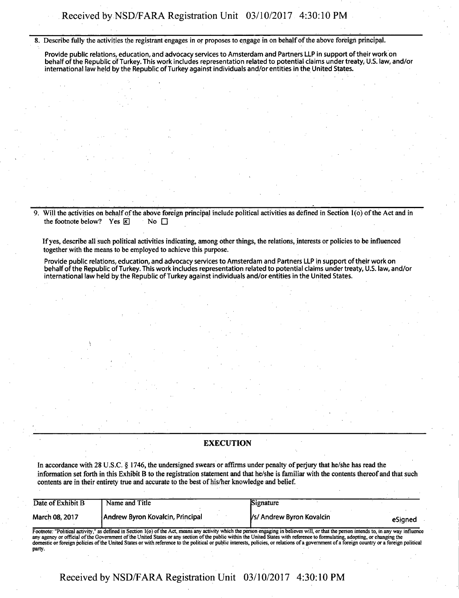**8. Describe fully the activities the registrant engages in or proposes to engage in on behalf of the above foreign principal.** 

**Provide public relations, education, and advocacy services to Amsterdam and Partners LLP in support of their work on behalf ofthe Republic of Turkey. This work includes representation related to potential claims under treaty, U.S. law, and/or international law held by the Republic of Turkey against individuals and/or entities in the United States.** 

**9. Will the activities on behalf ofthe above foreign principal include political activities as defined in Section l(o) of the Act and in**  the footnote below? Yes **<b>** $\overline{\mathbf{x}}$  No □

**If yes, describe all such political activities indicating, among other things, the relations, interests or policies to be influenced together with the means to be employed to achieve this purpose.** 

**\** 

**Provide public relations, education, and advocacy services to Amsterdam and Partners LLP in support of their work on behalf of the Republic of Turkey. This work includes representation related to potential claims under treaty, U.S. law, and/or international law held by the Republic of Turkey against individuals and/or entities in the United States.** 

#### **EXECUTION**

**In accordance with 28 U.S.C. § 1746, the undersigned swears or affirms under penalty of perjury that he/she has read the information set forth in this Exhibit B to the registration statement and that he/she is familiar with the contents thereof and that such contents are in their entirety true and accurate to the best of his/her knowledge and belief.** 

| Date of Exhibit B | Name and Title                                                                                                                                                                            | Signature                 |         |
|-------------------|-------------------------------------------------------------------------------------------------------------------------------------------------------------------------------------------|---------------------------|---------|
| March 08, 2017    | <b>JAndrew Byron Kovalcin, Principal</b>                                                                                                                                                  | Vs/ Andrew Byron Kovalcin | eSianed |
|                   | Footnote: "Political activity," as defined in Section 1(0) of the Act, means any activity which the person engaging in believes will, or that the person intends to, in any way influence |                           |         |

Footnote: "Political activity," as defined in Section 1(o) of the Act, means any activity which the person engaging in believes will, or that the person intends to, in any way influence<br>any agency or official of the Govern domestic or foreign policies of the United States or with reference to the political or public interests, policies, or relations of a government of a foreign country or a foreign political party.

**Received by NSD/FARA Registration Unit 03/10/2017 4:30:10 PM**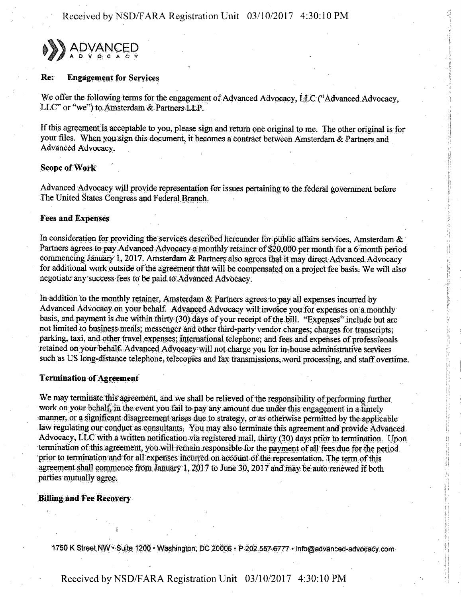Received by NSD/FARA Registration Unit 03/10/2017 4:30:10 PM



#### Re: Engagement for Services

We offer the following terms for the engagement of Advanced Advocacy, LLC ("Advanced Advocacy, LLC" or "we") to Amsterdam & Partners LLP.

If this agreement is acceptable to you, please sign and return one original to me. The other original is for your files. When you sign this document, it becomes a contract between Amsterdam & Partners and Advanced Advocacy,

## Scope of Work

Advanced Advocacy will provide representation for issues pertaining to the federal government before The United States Congress and Federal Branch.

### Fees and Expenses

In consideration for providing the services described hereunder for public affairs services, Amsterdam  $\&$ Partners agrees to pay Advanced Advocacy a monthly retainer of \$20,000 per month for a 6 month period commencing January 1, 2017. Amsterdam & Partners also agrees that it may direct Advanced Advocacy for additional work outside of the agreement that will be compensated on a project fee basis. We will also negotiate any success fees to be paid to Advanced Advocacy.

In addition to the monthly retainer, Amsterdam  $\&$  Partners agrees to pay all expenses incurred by Advanced Advocacy on your behalf. Advanced Advocacy will invoice you for expenses on a monthly basis, and payment is due within thirty (30) days of your receipt of the bill. "Expenses" include but are not limited to business meals; messenger and other third-party vendor charges; charges for transcripts; parking, taxi, and other travel expenses; international telephone; and fees and expenses of professionals retained on your behalf. Advanced Advocacy will not charge you for in-house administrative services such as US long-distance telephone, telecopies and fax transmissions, word processing, and staff overtime.

#### Termination of Agreement

We may terminate this agreement, and we shall be relieved of the responsibility of performing further work on your behalf, in the event you fail to pay any amount due under this engagement in a timely manner, or a significant disagreement arises due to strategy, or as otherwise permitted by the applicable law regulating our conduct as consultants. You may also terminate this agreement and provide Advanced Advocacy, LLC with a written notification via registered mail, thirty (30) days prior to termination. Upon termination of this agreement, you will remain responsible for the payment of all fees due for the period. prior to termination and for all expenses incurred on account of the representation. The term of this agreement shall commence from January  $1,2017$  to June 30,  $2017$  and may be auto renewed if both parties mutually agree.

#### Billing and Fee Recovery-

1750 K Street NW  $\cdot$  Suite 1200  $\cdot$  Washington, DC 20006  $\cdot$  P 202,557.6777  $\cdot$  info@advanced

# Received by NSD/FARA Registration Unit 03/10/2017 4:30:10 PM